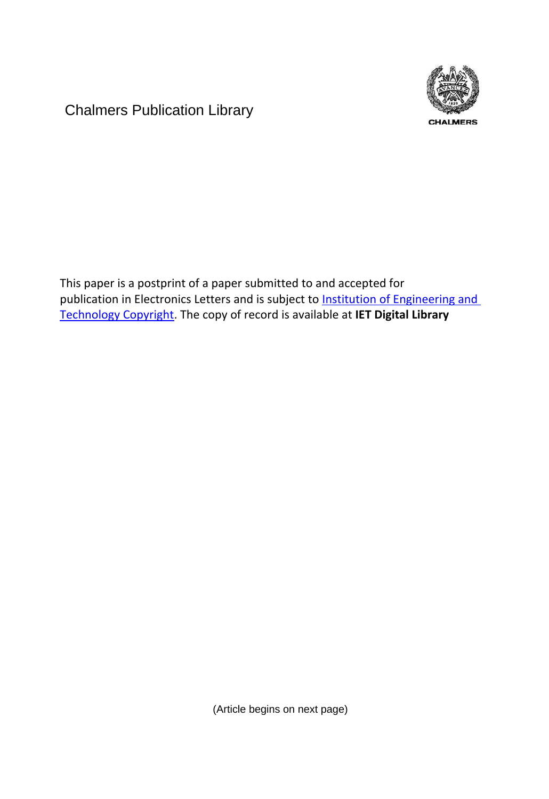Chalmers Publication Library



This paper is a postprint of a paper submitted to and accepted for publication in Electronics Letters and is subject to **Institution of Engineering and** [Technology Copyright.](http://digital-library.theiet.org/journals/doc/IEEDRL-home/info/support/copyinf.jsp) The copy of record is available at **IET Digital Library**

(Article begins on next page)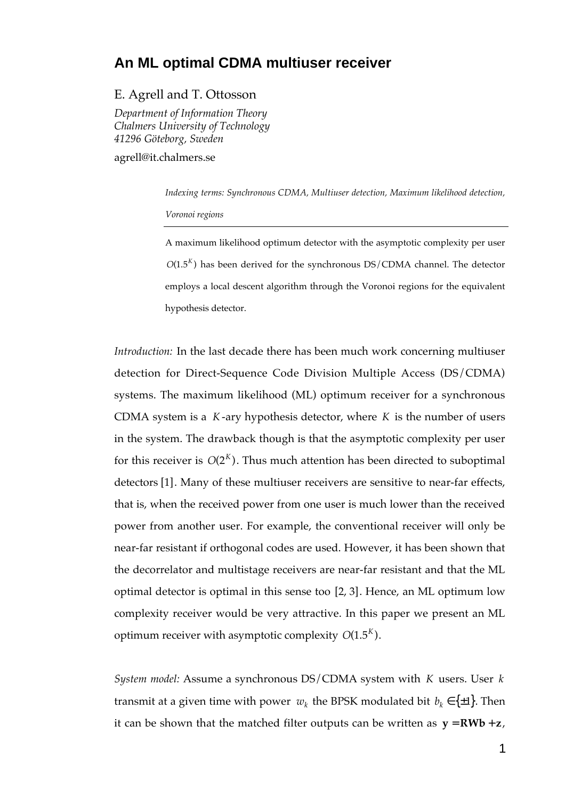## **An ML optimal CDMA multiuser receiver**

## E. Agrell and T. Ottosson

*Department of Information Theory Chalmers University of Technology 41296 Göteborg, Sweden*

agrell@it.chalmers.se

*Indexing terms: Synchronous CDMA, Multiuser detection, Maximum likelihood detection, Voronoi regions*

A maximum likelihood optimum detector with the asymptotic complexity per user  $O(1.5<sup>K</sup>)$  has been derived for the synchronous DS/CDMA channel. The detector employs a local descent algorithm through the Voronoi regions for the equivalent hypothesis detector.

*Introduction:* In the last decade there has been much work concerning multiuser detection for Direct-Sequence Code Division Multiple Access (DS/CDMA) systems. The maximum likelihood (ML) optimum receiver for a synchronous CDMA system is a *K* -ary hypothesis detector, where *K* is the number of users in the system. The drawback though is that the asymptotic complexity per user for this receiver is  $O(2^{K})$ . Thus much attention has been directed to suboptimal detectors [1]. Many of these multiuser receivers are sensitive to near-far effects, that is, when the received power from one user is much lower than the received power from another user. For example, the conventional receiver will only be near-far resistant if orthogonal codes are used. However, it has been shown that the decorrelator and multistage receivers are near-far resistant and that the ML optimal detector is optimal in this sense too [2, 3]. Hence, an ML optimum low complexity receiver would be very attractive. In this paper we present an ML optimum receiver with asymptotic complexity  $O(1.5^K)$ .

*System model:* Assume a synchronous DS/CDMA system with *K* users. User *k* transmit at a given time with power  $w_k$  the BPSK modulated bit  $b_k \in \{\pm 1\}$ . Then it can be shown that the matched filter outputs can be written as  $y = R W b + z$ ,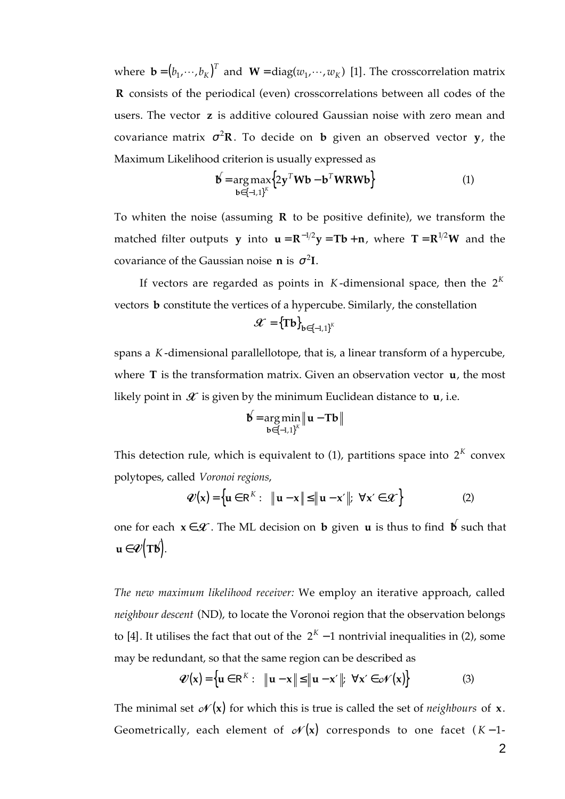where  $\mathbf{b} = (b_1, \dots, b_K)^T$  $(\mathbf{w}_1, \dots, \mathbf{b}_K)^T$  and  $\mathbf{W} = \text{diag}(w_1, \dots, w_K)$  [1]. The crosscorrelation matrix  **R** consists of the periodical (even) crosscorrelations between all codes of the users. The vector **z** is additive coloured Gaussian noise with zero mean and covariance matrix  $\sigma^2 \mathbf{R}$ . To decide on **b** given an observed vector **y**, the Maximum Likelihood criterion is usually expressed as

$$
\mathbf{b} = \underset{\mathbf{b} \in \{-1,1\}^K}{\arg \max} \{ 2\mathbf{y}^T \mathbf{W} \mathbf{b} - \mathbf{b}^T \mathbf{W} \mathbf{R} \mathbf{W} \mathbf{b} \}
$$
(1)

To whiten the noise (assuming **R** to be positive definite), we transform the matched filter outputs **y** into  $\mathbf{u} = \mathbf{R}^{-1/2}\mathbf{y} = \mathbf{T}\mathbf{b} + \mathbf{n}$ , where  $\mathbf{T} = \mathbf{R}^{1/2}\mathbf{W}$  and the covariance of the Gaussian noise **n** is  $\sigma^2$ **I**.

If vectors are regarded as points in  $K$ -dimensional space, then the  $2^K$ vectors **b** constitute the vertices of a hypercube. Similarly, the constellation

$$
\mathcal{L} = {\mathbf{Tb}}_{\mathbf{b} \in \{-1,1\}^K}
$$

spans a *K* -dimensional parallellotope, that is, a linear transform of a hypercube, where **T** is the transformation matrix. Given an observation vector **u**, the most likely point in  $\mathcal X$  is given by the minimum Euclidean distance to  $\mathbf u$ , i.e.

$$
\boldsymbol{\upphi} = \arg\min_{\boldsymbol{\mathbf{b}} \in \{-1,1\}^K} \|\mathbf{u} - \mathbf{T}\boldsymbol{\mathbf{b}}\|
$$

This detection rule, which is equivalent to  $(1)$ , partitions space into  $2<sup>K</sup>$  convex polytopes, called *Voronoi regions*,

$$
\mathcal{V}(\mathbf{x}) = \left\{ \mathbf{u} \in \mathbb{R}^{K} : \|\mathbf{u} - \mathbf{x}\| \le \|\mathbf{u} - \mathbf{x}'\|; \ \forall \mathbf{x}' \in \mathcal{K} \right\}
$$
 (2)

one for each  $x \in \mathcal{X}$ . The ML decision on **b** given **u** is thus to find **b** such that  $\mathbf{u} \in \mathcal{U}(\mathbf{T}\mathbf{b}).$ 

*The new maximum likelihood receiver:* We employ an iterative approach, called *neighbour descent* (ND), to locate the Voronoi region that the observation belongs to [4]. It utilises the fact that out of the  $2<sup>K</sup> - 1$  nontrivial inequalities in (2), some may be redundant, so that the same region can be described as

$$
\mathcal{U}(\mathbf{x}) = \left\{ \mathbf{u} \in \mathbb{R}^{K} : \|\mathbf{u} - \mathbf{x}\| \le \|\mathbf{u} - \mathbf{x}'\|; \ \forall \mathbf{x}' \in \mathcal{N}(\mathbf{x}) \right\}
$$
(3)

The minimal set  $\mathscr{N}(x)$  for which this is true is called the set of *neighbours* of  $x$ . Geometrically, each element of  $\mathscr{N}(\mathbf{x})$  corresponds to one facet  $(K-1-$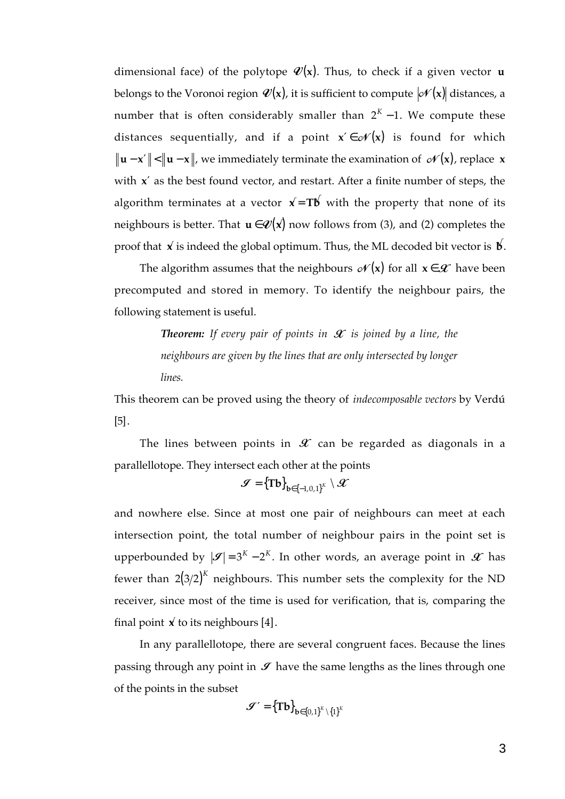dimensional face) of the polytope  $\mathcal{V}(\mathsf{x})$ . Thus, to check if a given vector **u** belongs to the Voronoi region  $\mathcal{V}(\mathsf{x})$ , it is sufficient to compute  $|\mathscr{N}(\mathsf{x})|$  distances, a number that is often considerably smaller than  $2<sup>K</sup> - 1$ . We compute these distances sequentially, and if a point  $x' \in \mathcal{N}(x)$  is found for which  **u** − **x**′ < **u** − **x** , we immediately terminate the examination of  (**x**), replace **x** with **x**′ as the best found vector, and restart. After a finite number of steps, the algorithm terminates at a vector  $\mathbf{x} = \mathbf{T} \mathbf{b}$  with the property that none of its neighbours is better. That  $\mathbf{u} \in \mathcal{V}(\mathbf{x})$  now follows from (3), and (2) completes the proof that  $\vec{x}$  is indeed the global optimum. Thus, the ML decoded bit vector is  $\vec{b}$ .

The algorithm assumes that the neighbours  $\mathscr{N}(\mathbf{x})$  for all  $\mathbf{x} \in \mathscr{X}$  have been precomputed and stored in memory. To identify the neighbour pairs, the following statement is useful.

> *Theorem: If every pair of points in*  $\mathcal X$  *is joined by a line, the neighbours are given by the lines that are only intersected by longer lines.*

This theorem can be proved using the theory of *indecomposable vectors* by Verdú [5].

The lines between points in  $\mathscr X$  can be regarded as diagonals in a parallellotope. They intersect each other at the points

$$
\mathbf{\mathcal{J}}=\left\{\mathbf{Tb}\right\}_{\mathbf{b}\in\left\{-1,0,1\right\}^{K}}\setminus\mathbf{\mathcal{X}}
$$

and nowhere else. Since at most one pair of neighbours can meet at each intersection point, the total number of neighbour pairs in the point set is upperbounded by  $|\mathcal{S}| = 3^{K} - 2^{K}$ . In other words, an average point in  $\mathcal{X}$  has fewer than  $2(3/2)^K$  neighbours. This number sets the complexity for the ND receiver, since most of the time is used for verification, that is, comparing the final point  $\vec{x}$  to its neighbours [4].

In any parallellotope, there are several congruent faces. Because the lines passing through any point in  $\mathcal I$  have the same lengths as the lines through one of the points in the subset

$$
\mathbf{\mathcal{J}}' = \left\{ \mathbf{Tb} \right\}_{\mathbf{b} \in \left\{0,1\right\}^K \setminus \left\{1\right\}^K}
$$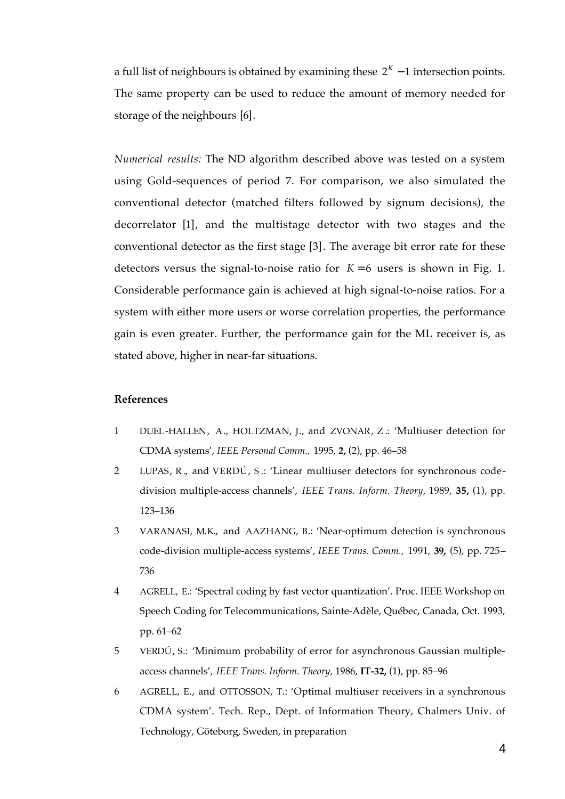a full list of neighbours is obtained by examining these  $2<sup>K</sup> - 1$  intersection points. The same property can be used to reduce the amount of memory needed for storage of the neighbours [6].

*Numerical results:* The ND algorithm described above was tested on a system using Gold-sequences of period 7. For comparison, we also simulated the conventional detector (matched filters followed by signum decisions), the decorrelator [1], and the multistage detector with two stages and the conventional detector as the first stage [3]. The average bit error rate for these detectors versus the signal-to-noise ratio for  $K = 6$  users is shown in Fig. 1. Considerable performance gain is achieved at high signal-to-noise ratios. For a system with either more users or worse correlation properties, the performance gain is even greater. Further, the performance gain for the ML receiver is, as stated above, higher in near-far situations.

## **References**

- 1 DUEL-HALLEN, A., HOLTZMAN, J., and ZVONAR, Z .: 'Multiuser detection for CDMA systems', *IEEE Personal Comm.,* 1995, **2,** (2), pp. 46–58
- 2 LUPAS, R ., and VERDÚ, S .: 'Linear multiuser detectors for synchronous codedivision multiple-access channels', *IEEE Trans. Inform. Theory,* 1989, **35,** (1), pp. 123–136
- 3 VARANASI, M.K., and AAZHANG, B.: 'Near-optimum detection is synchronous code-division multiple-access systems', *IEEE Trans. Comm.,* 1991, **39,** (5), pp. 725– 736
- 4 AGRELL, E.: 'Spectral coding by fast vector quantization'. Proc. IEEE Workshop on Speech Coding for Telecommunications, Sainte-Adèle, Québec, Canada, Oct. 1993, pp. 61–62
- 5 VERDÚ, S.: 'Minimum probability of error for asynchronous Gaussian multipleaccess channels', *IEEE Trans. Inform. Theory,* 1986, **IT-32,** (1), pp. 85–96
- 6 AGRELL, E., and OTTOSSON, T.: 'Optimal multiuser receivers in a synchronous CDMA system'. Tech. Rep., Dept. of Information Theory, Chalmers Univ. of Technology, Göteborg, Sweden, in preparation